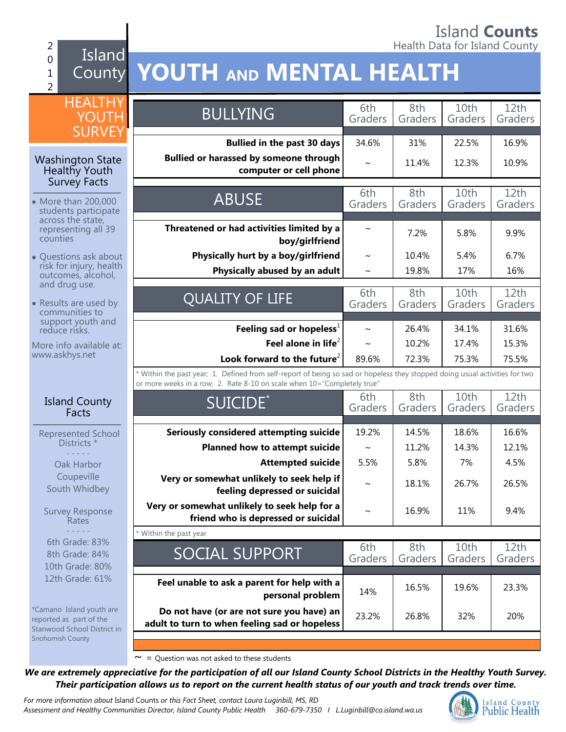## Island **Counts** 2 **Accounting the County of the County of the County of the County of the County of the County of the County of the County of the County of the County of the County of the County of the County of the County of the County o**

## Island County **YOUTH AND MENTAL HEALTH**

| <b>HEALTHY</b> |
|----------------|
| YOUTH          |
| SURVEY         |

#### Washington State Healthy Youth Survey Facts

0 1 2

- More than 200,000 students participate across the state, representing all 39 counties
- Questions ask about risk for injury, health outcomes, alcohol, and drug use.
- Results are used by communities to support youth and reduce risks.

More info available at: www.askhys.net

#### Island County Facts

Represented School Districts \* - - - - -

Oak Harbor Coupeville South Whidbey

Survey Response **Rates** - - - - - 6th Grade: 83% 8th Grade: 84% 10th Grade: 80% 12th Grade: 61%

\*Camano Island youth are reported as part of the Stanwood School District in Snohomish County

| <b>BULLYING</b>                                                                                                                                                                                        | 6th<br>Graders | 8th<br>Graders | 10th<br>Graders | 12 <sub>th</sub><br>Graders |  |
|--------------------------------------------------------------------------------------------------------------------------------------------------------------------------------------------------------|----------------|----------------|-----------------|-----------------------------|--|
|                                                                                                                                                                                                        |                |                |                 |                             |  |
| <b>Bullied in the past 30 days</b>                                                                                                                                                                     | 34.6%          | 31%            | 22.5%           | 16.9%                       |  |
| <b>Bullied or harassed by someone through</b><br>computer or cell phone                                                                                                                                | $\sim$         | 11.4%          | 12.3%           | 10.9%                       |  |
|                                                                                                                                                                                                        |                |                |                 |                             |  |
| <b>ABUSE</b>                                                                                                                                                                                           | 6th<br>Graders | 8th<br>Graders | 10th<br>Graders | 12th<br>Graders             |  |
|                                                                                                                                                                                                        |                |                |                 |                             |  |
| Threatened or had activities limited by a<br>boy/girlfriend                                                                                                                                            |                | 7.2%           | 5.8%            | 9.9%                        |  |
|                                                                                                                                                                                                        |                |                |                 |                             |  |
| Physically hurt by a boy/girlfriend                                                                                                                                                                    | $\sim$         | 10.4%          | 5.4%            | 6.7%                        |  |
| Physically abused by an adult                                                                                                                                                                          | $\sim$         | 19.8%          | 17%             | 16%                         |  |
|                                                                                                                                                                                                        | 6th            | 8th            | 10th            | 12th                        |  |
| <b>QUALITY OF LIFE</b>                                                                                                                                                                                 | Graders        | Graders        | Graders         | Graders                     |  |
|                                                                                                                                                                                                        |                |                |                 |                             |  |
| Feeling sad or hopeless <sup>1</sup>                                                                                                                                                                   | $\sim$         | 26.4%          | 34.1%           | 31.6%                       |  |
| Feel alone in life $^2$                                                                                                                                                                                | $\sim$         | 10.2%          | 17.4%           | 15.3%                       |  |
| Look forward to the future <sup>2</sup>                                                                                                                                                                | 89.6%          | 72.3%          | 75.3%           | 75.5%                       |  |
| * Within the past year; 1. Defined from self-report of being so sad or hopeless they stopped doing usual activities for two<br>or more weeks in a row; 2. Rate 8-10 on scale when 10="Completely true" |                |                |                 |                             |  |
| SUICIDE <sup>*</sup>                                                                                                                                                                                   | 6th            | 8th            | 10th            | 12th                        |  |
|                                                                                                                                                                                                        | Graders        | Graders        | Graders         | Graders                     |  |
| Seriously considered attempting suicide                                                                                                                                                                | 19.2%          | 14.5%          | 18.6%           | 16.6%                       |  |
| Planned how to attempt suicide                                                                                                                                                                         | $\sim$         | 11.2%          | 14.3%           | 12.1%                       |  |
|                                                                                                                                                                                                        |                |                |                 |                             |  |
| <b>Attempted suicide</b>                                                                                                                                                                               | 5.5%           | 5.8%           | 7%              | 4.5%                        |  |
| Very or somewhat unlikely to seek help if<br>feeling depressed or suicidal                                                                                                                             | $\sim$         | 18.1%          | 26.7%           | 26.5%                       |  |
| Very or somewhat unlikely to seek help for a<br>friend who is depressed or suicidal                                                                                                                    |                | 16.9%          | 11%             | 9.4%                        |  |
| * Within the past year                                                                                                                                                                                 |                |                |                 |                             |  |
|                                                                                                                                                                                                        | 6th            | 8th            | 10th            | 12th                        |  |
| SOCIAL SUPPORT                                                                                                                                                                                         | Graders        | Graders        | Graders         | Graders                     |  |
|                                                                                                                                                                                                        |                |                |                 |                             |  |
|                                                                                                                                                                                                        |                |                |                 |                             |  |
| Feel unable to ask a parent for help with a                                                                                                                                                            | 14%            | 16.5%          | 19.6%           | 23.3%                       |  |
| personal problem                                                                                                                                                                                       |                |                |                 |                             |  |
| Do not have (or are not sure you have) an<br>adult to turn to when feeling sad or hopeless                                                                                                             | 23.2%          | 26.8%          | 32%             | 20%                         |  |

 $\sim$  = Question was not asked to these students

*We are extremely appreciative for the participation of all our Island County School Districts in the Healthy Youth Survey. Their participation allows us to report on the current health status of our youth and track trends over time.*

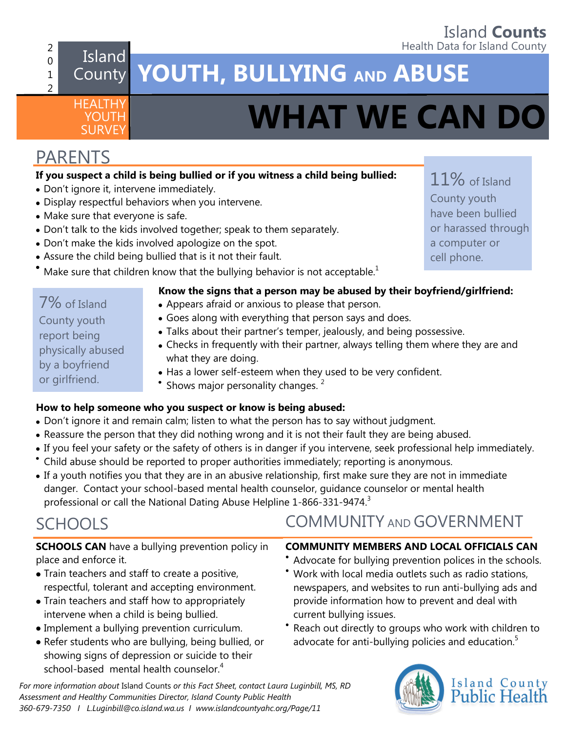## **Island Counts**<br>Health Data for Island County

## 2 0 1

HEALTHY **YOUTH** 

## **Island County Island County Island County Island County Island County Island County Island County Island County Island County Island County Island County Island County Island County** County **YOUTH, BULLYING AND ABUSE**

# **SURVEY <b>WHAT WE CAN DO**

## PARENTS

7% of Island County youth report being

physically abused by a boyfriend or girlfriend.

2

## **If you suspect a child is being bullied or if you witness a child being bullied:**

- Don't ignore it, intervene immediately.
- Display respectful behaviors when you intervene.
- Make sure that everyone is safe.
- Don't talk to the kids involved together; speak to them separately.
- Don't make the kids involved apologize on the spot.
- Assure the child being bullied that is it not their fault.
- Make sure that children know that the bullying behavior is not acceptable.<sup>1</sup>

## **Know the signs that a person may be abused by their boyfriend/girlfriend:**

- Appears afraid or anxious to please that person.
- Goes along with everything that person says and does.
- Talks about their partner's temper, jealously, and being possessive.
- Checks in frequently with their partner, always telling them where they are and what they are doing.
- Has a lower self-esteem when they used to be very confident.
- Shows major personality changes.<sup>2</sup>

## **How to help someone who you suspect or know is being abused:**

- 
- Reassure the person that they did nothing wrong and it is not their fault they are being abused.
- If you feel your safety or the safety of others is in danger if you intervene, seek professional help immediately.
- 
- If a youth notifies you that they are in an abusive relationship, first make sure they are not in immediate danger. Contact your school-based mental health counselor, guidance counselor or mental health professional or call the National Dating Abuse Helpline 1-866-331-9474.<sup>3</sup>

## SCHOOLS

**SCHOOLS CAN** have a bullying prevention policy in place and enforce it.

- Train teachers and staff to create a positive, respectful, tolerant and accepting environment.
- Train teachers and staff how to appropriately intervene when a child is being bullied.
- Implement a bullying prevention curriculum.
- Refer students who are bullying, being bullied, or showing signs of depression or suicide to their school-based mental health counselor.<sup>4</sup>

*For more information about* Island Counts *or this Fact Sheet, contact Laura Luginbill, MS, RD Assessment and Healthy Communities Director, Island County Public Health 360-679-7350 I L.Luginbill@co.island.wa.us I [www.islandcountyahc.org/Page/11](http://www.islandcountyahc.org/Page/11)*

- 
- 
- 
- 
- 

- Don't ignore it and remain calm; listen to what the person has to say without judgment.
- 
- 
- Child abuse should be reported to proper authorities immediately; reporting is anonymous.
- 

## COMMUNITY AND GOVERNMENT

## **COMMUNITY MEMBERS AND LOCAL OFFICIALS CAN**

- Advocate for bullying prevention polices in the schools.
- Work with local media outlets such as radio stations, newspapers, and websites to run anti-bullying ads and provide information how to prevent and deal with current bullying issues.
- Reach out directly to groups who work with children to advocate for anti-bullying policies and education.<sup>5</sup>



11% of Island County youth have been bullied or harassed through a computer or cell phone.